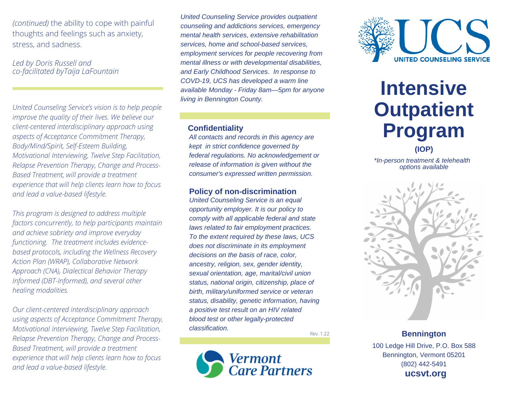*(continued)* the ability to cope with painful thoughts and feelings such as anxiety, stress, and sadness.

*Led by Doris Russell and co-facilitated byTaija LaFountain*

*United Counseling Service's vision is to help people improve the quality of their lives. We believe our client-centered interdisciplinary approach using aspects of Acceptance Commitment Therapy, Body/Mind/Spirit, Self-Esteem Building, Motivational Interviewing, Twelve Step Facilitation, Relapse Prevention Therapy, Change and Process-Based Treatment, will provide a treatment experience that will help clients learn how to focus and lead a value-based lifestyle.*

*This program is designed to address multiple factors concurrently, to help participants maintain and achieve sobriety and improve everyday functioning. The treatment includes evidencebased protocols, including the Wellness Recovery Action Plan (WRAP), Collaborative Network Approach (CNA), Dialectical Behavior Therapy Informed (DBT-Informed), and several other healing modalities.*

*Our client-centered interdisciplinary approach using aspects of Acceptance Commitment Therapy, Motivational Interviewing, Twelve Step Facilitation, Relapse Prevention Therapy, Change and Process-Based Treatment, will provide a treatment experience that will help clients learn how to focus and lead a value-based lifestyle.*

*United Counseling Service provides outpatient counseling and addictions services, emergency mental health services, extensive rehabilitation services, home and school-based services, employment services for people recovering from mental illness or with developmental disabilities, and Early Childhood Services. In response to COVD-19, UCS has developed a warm line available Monday - Friday 8am—5pm for anyone living in Bennington County.*

#### **Confidentiality**

*All contacts and records in this agency are kept in strict confidence governed by federal regulations. No acknowledgement or release of information is given without the consumer's expressed written permission.*

#### **Policy of non-discrimination**

*United Counseling Service is an equal opportunity employer. It is our policy to comply with all applicable federal and state laws related to fair employment practices. To the extent required by these laws, UCS does not discriminate in its employment decisions on the basis of race, color, ancestry, religion, sex, gender identity, sexual orientation, age, marital/civil union status, national origin, citizenship, place of birth, military/uniformed service or veteran status, disability, genetic information, having a positive test result on an HIV related blood test or other legally-protected classification.*

Rev. 1.22





# **Intensive Outpatient Program**

**(IOP)**

*\*In-person treatment & telehealth options available*



100 Ledge Hill Drive, P.O. Box 588 Bennington, Vermont 05201 (802) 442-5491 **ucsvt.org**

**Bennington**